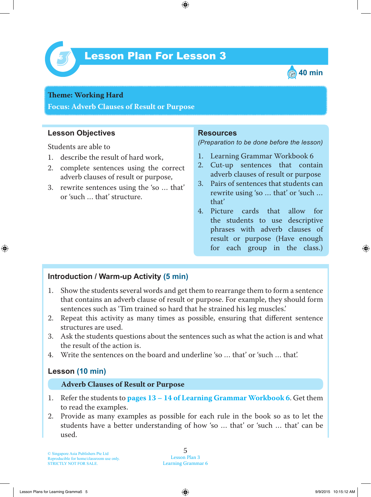

# Lesson Plan For Lesson 3 *3*



## **Theme: Working Hard**

**Focus: Adverb Clauses of Result or Purpose**

### **Lesson Objectives**

Students are able to

- 1. describe the result of hard work,
- 2. complete sentences using the correct adverb clauses of result or purpose,
- 3. rewrite sentences using the 'so … that' or 'such … that' structure.

#### **Resources**

*(Preparation to be done before the lesson)*

- 1. Learning Grammar Workbook 6
- 2. Cut-up sentences that contain adverb clauses of result or purpose
- 3. Pairs of sentences that students can rewrite using 'so … that' or 'such … that'
- 4. Picture cards that allow for the students to use descriptive phrases with adverb clauses of result or purpose (Have enough for each group in the class.)

#### **Introduction / Warm-up Activity (5 min)**

- 1. Show the students several words and get them to rearrange them to form a sentence that contains an adverb clause of result or purpose. For example, they should form sentences such as 'Tim trained so hard that he strained his leg muscles.'
- 2. Repeat this activity as many times as possible, ensuring that different sentence structures are used.
- 3. Ask the students questions about the sentences such as what the action is and what the result of the action is.
- 4. Write the sentences on the board and underline 'so … that' or 'such … that'.

#### **Lesson (10 min)**

#### **Adverb Clauses of Result or Purpose**

- 1. Refer the students to **pages 13 – 14 of Learning Grammar Workbook 6** . Get them to read the examples.
- 2. Provide as many examples as possible for each rule in the book so as to let the students have a better understanding of how 'so … that' or 'such … that' can be used.